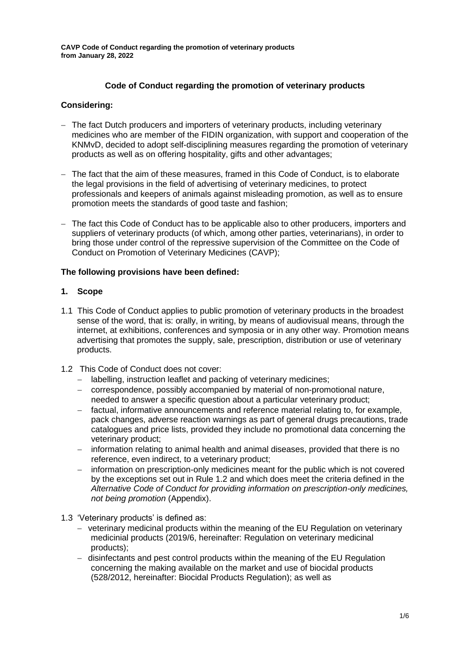# **Code of Conduct regarding the promotion of veterinary products**

# **Considering:**

- − The fact Dutch producers and importers of veterinary products, including veterinary medicines who are member of the FIDIN organization, with support and cooperation of the KNMvD, decided to adopt self-disciplining measures regarding the promotion of veterinary products as well as on offering hospitality, gifts and other advantages;
- − The fact that the aim of these measures, framed in this Code of Conduct, is to elaborate the legal provisions in the field of advertising of veterinary medicines, to protect professionals and keepers of animals against misleading promotion, as well as to ensure promotion meets the standards of good taste and fashion;
- − The fact this Code of Conduct has to be applicable also to other producers, importers and suppliers of veterinary products (of which, among other parties, veterinarians), in order to bring those under control of the repressive supervision of the Committee on the Code of Conduct on Promotion of Veterinary Medicines (CAVP);

# **The following provisions have been defined:**

# **1. Scope**

- 1.1 This Code of Conduct applies to public promotion of veterinary products in the broadest sense of the word, that is: orally, in writing, by means of audiovisual means, through the internet, at exhibitions, conferences and symposia or in any other way. Promotion means advertising that promotes the supply, sale, prescription, distribution or use of veterinary products.
- 1.2 This Code of Conduct does not cover:
	- − labelling, instruction leaflet and packing of veterinary medicines;
	- − correspondence, possibly accompanied by material of non-promotional nature, needed to answer a specific question about a particular veterinary product;
	- − factual, informative announcements and reference material relating to, for example, pack changes, adverse reaction warnings as part of general drugs precautions, trade catalogues and price lists, provided they include no promotional data concerning the veterinary product;
	- − information relating to animal health and animal diseases, provided that there is no reference, even indirect, to a veterinary product;
	- information on prescription-only medicines meant for the public which is not covered by the exceptions set out in Rule 1.2 and which does meet the criteria defined in the *Alternative Code of Conduct for providing information on prescription-only medicines, not being promotion* (Appendix).
- 1.3 'Veterinary products' is defined as:
	- − veterinary medicinal products within the meaning of the EU Regulation on veterinary medicinial products (2019/6, hereinafter: Regulation on veterinary medicinal products);
	- − disinfectants and pest control products within the meaning of the EU Regulation concerning the making available on the market and use of biocidal products (528/2012, hereinafter: Biocidal Products Regulation); as well as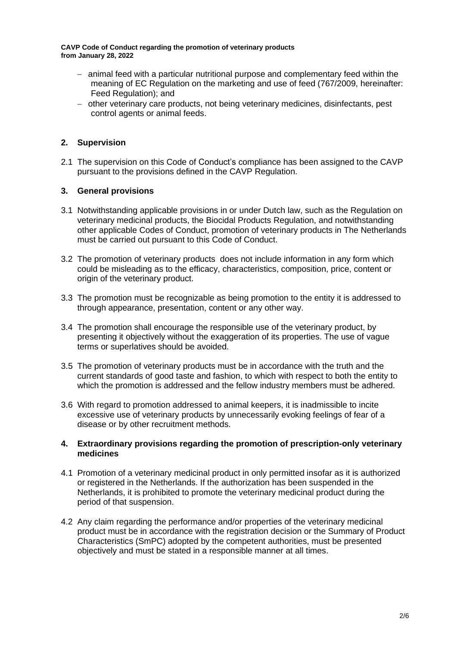- − animal feed with a particular nutritional purpose and complementary feed within the meaning of EC Regulation on the marketing and use of feed (767/2009, hereinafter: Feed Regulation); and
- − other veterinary care products, not being veterinary medicines, disinfectants, pest control agents or animal feeds.

# **2. Supervision**

2.1 The supervision on this Code of Conduct's compliance has been assigned to the CAVP pursuant to the provisions defined in the CAVP Regulation.

# **3. General provisions**

- 3.1 Notwithstanding applicable provisions in or under Dutch law, such as the Regulation on veterinary medicinal products, the Biocidal Products Regulation, and notwithstanding other applicable Codes of Conduct, promotion of veterinary products in The Netherlands must be carried out pursuant to this Code of Conduct.
- 3.2 The promotion of veterinary products does not include information in any form which could be misleading as to the efficacy, characteristics, composition, price, content or origin of the veterinary product.
- 3.3 The promotion must be recognizable as being promotion to the entity it is addressed to through appearance, presentation, content or any other way.
- 3.4 The promotion shall encourage the responsible use of the veterinary product, by presenting it objectively without the exaggeration of its properties. The use of vague terms or superlatives should be avoided.
- 3.5 The promotion of veterinary products must be in accordance with the truth and the current standards of good taste and fashion, to which with respect to both the entity to which the promotion is addressed and the fellow industry members must be adhered.
- 3.6 With regard to promotion addressed to animal keepers, it is inadmissible to incite excessive use of veterinary products by unnecessarily evoking feelings of fear of a disease or by other recruitment methods.

### **4. Extraordinary provisions regarding the promotion of prescription-only veterinary medicines**

- 4.1 Promotion of a veterinary medicinal product in only permitted insofar as it is authorized or registered in the Netherlands. If the authorization has been suspended in the Netherlands, it is prohibited to promote the veterinary medicinal product during the period of that suspension.
- 4.2 Any claim regarding the performance and/or properties of the veterinary medicinal product must be in accordance with the registration decision or the Summary of Product Characteristics (SmPC) adopted by the competent authorities, must be presented objectively and must be stated in a responsible manner at all times.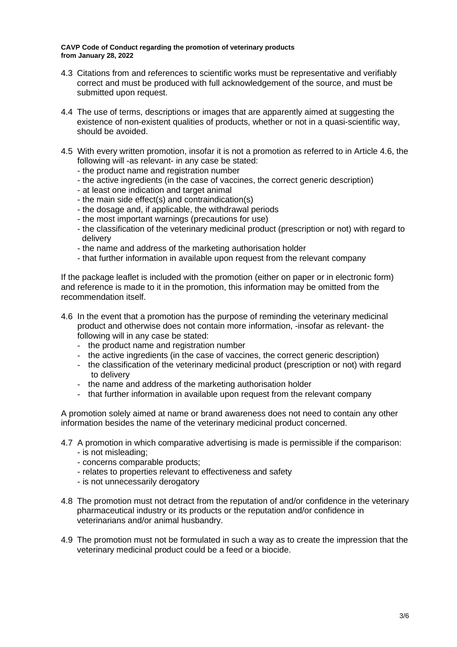- 4.3 Citations from and references to scientific works must be representative and verifiably correct and must be produced with full acknowledgement of the source, and must be submitted upon request.
- 4.4 The use of terms, descriptions or images that are apparently aimed at suggesting the existence of non-existent qualities of products, whether or not in a quasi-scientific way, should be avoided.
- 4.5 With every written promotion, insofar it is not a promotion as referred to in Article 4.6, the following will -as relevant- in any case be stated:
	- the product name and registration number
	- the active ingredients (in the case of vaccines, the correct generic description)
	- at least one indication and target animal
	- the main side effect(s) and contraindication(s)
	- the dosage and, if applicable, the withdrawal periods
	- the most important warnings (precautions for use)
	- the classification of the veterinary medicinal product (prescription or not) with regard to delivery
	- the name and address of the marketing authorisation holder
	- that further information in available upon request from the relevant company

If the package leaflet is included with the promotion (either on paper or in electronic form) and reference is made to it in the promotion, this information may be omitted from the recommendation itself.

- 4.6 In the event that a promotion has the purpose of reminding the veterinary medicinal product and otherwise does not contain more information, -insofar as relevant- the following will in any case be stated:
	- the product name and registration number
	- the active ingredients (in the case of vaccines, the correct generic description)
	- the classification of the veterinary medicinal product (prescription or not) with regard to delivery
	- the name and address of the marketing authorisation holder
	- that further information in available upon request from the relevant company

A promotion solely aimed at name or brand awareness does not need to contain any other information besides the name of the veterinary medicinal product concerned.

- 4.7 A promotion in which comparative advertising is made is permissible if the comparison:
	- is not misleading;
	- concerns comparable products;
	- relates to properties relevant to effectiveness and safety
	- is not unnecessarily derogatory
- 4.8 The promotion must not detract from the reputation of and/or confidence in the veterinary pharmaceutical industry or its products or the reputation and/or confidence in veterinarians and/or animal husbandry.
- 4.9 The promotion must not be formulated in such a way as to create the impression that the veterinary medicinal product could be a feed or a biocide.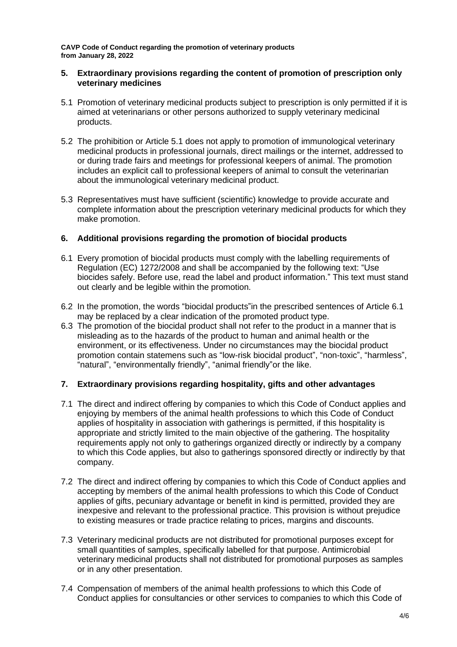### **5. Extraordinary provisions regarding the content of promotion of prescription only veterinary medicines**

- 5.1 Promotion of veterinary medicinal products subject to prescription is only permitted if it is aimed at veterinarians or other persons authorized to supply veterinary medicinal products.
- 5.2 The prohibition or Article 5.1 does not apply to promotion of immunological veterinary medicinal products in professional journals, direct mailings or the internet, addressed to or during trade fairs and meetings for professional keepers of animal. The promotion includes an explicit call to professional keepers of animal to consult the veterinarian about the immunological veterinary medicinal product.
- 5.3 Representatives must have sufficient (scientific) knowledge to provide accurate and complete information about the prescription veterinary medicinal products for which they make promotion.

# **6. Additional provisions regarding the promotion of biocidal products**

- 6.1 Every promotion of biocidal products must comply with the labelling requirements of Regulation (EC) 1272/2008 and shall be accompanied by the following text: "Use biocides safely. Before use, read the label and product information." This text must stand out clearly and be legible within the promotion.
- 6.2 In the promotion, the words "biocidal products"in the prescribed sentences of Article 6.1 may be replaced by a clear indication of the promoted product type.
- 6.3 The promotion of the biocidal product shall not refer to the product in a manner that is misleading as to the hazards of the product to human and animal health or the environment, or its effectiveness. Under no circumstances may the biocidal product promotion contain statemens such as "low-risk biocidal product", "non-toxic", "harmless", "natural", "environmentally friendly", "animal friendly"or the like.

# **7. Extraordinary provisions regarding hospitality, gifts and other advantages**

- 7.1 The direct and indirect offering by companies to which this Code of Conduct applies and enjoying by members of the animal health professions to which this Code of Conduct applies of hospitality in association with gatherings is permitted, if this hospitality is appropriate and strictly limited to the main objective of the gathering. The hospitality requirements apply not only to gatherings organized directly or indirectly by a company to which this Code applies, but also to gatherings sponsored directly or indirectly by that company.
- 7.2 The direct and indirect offering by companies to which this Code of Conduct applies and accepting by members of the animal health professions to which this Code of Conduct applies of gifts, pecuniary advantage or benefit in kind is permitted, provided they are inexpesive and relevant to the professional practice. This provision is without prejudice to existing measures or trade practice relating to prices, margins and discounts.
- 7.3 Veterinary medicinal products are not distributed for promotional purposes except for small quantities of samples, specifically labelled for that purpose. Antimicrobial veterinary medicinal products shall not distributed for promotional purposes as samples or in any other presentation.
- 7.4 Compensation of members of the animal health professions to which this Code of Conduct applies for consultancies or other services to companies to which this Code of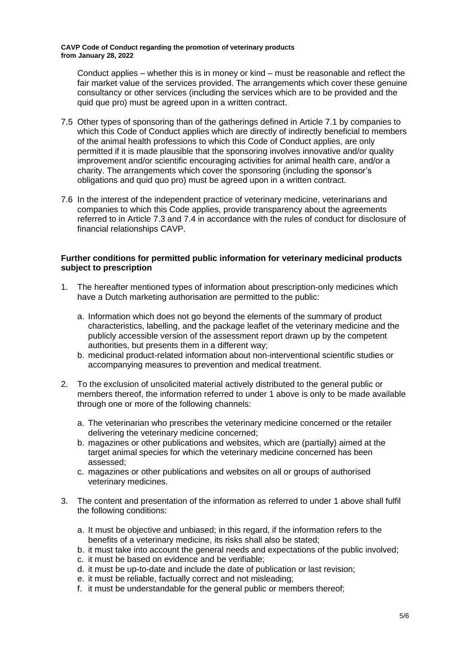Conduct applies – whether this is in money or kind – must be reasonable and reflect the fair market value of the services provided. The arrangements which cover these genuine consultancy or other services (including the services which are to be provided and the quid que pro) must be agreed upon in a written contract.

- 7.5 Other types of sponsoring than of the gatherings defined in Article 7.1 by companies to which this Code of Conduct applies which are directly of indirectly beneficial to members of the animal health professions to which this Code of Conduct applies, are only permitted if it is made plausible that the sponsoring involves innovative and/or quality improvement and/or scientific encouraging activities for animal health care, and/or a charity. The arrangements which cover the sponsoring (including the sponsor's obligations and quid quo pro) must be agreed upon in a written contract.
- 7.6 In the interest of the independent practice of veterinary medicine, veterinarians and companies to which this Code applies, provide transparency about the agreements referred to in Article 7.3 and 7.4 in accordance with the rules of conduct for disclosure of financial relationships CAVP.

## **Further conditions for permitted public information for veterinary medicinal products subject to prescription**

- 1. The hereafter mentioned types of information about prescription-only medicines which have a Dutch marketing authorisation are permitted to the public:
	- a. Information which does not go beyond the elements of the summary of product characteristics, labelling, and the package leaflet of the veterinary medicine and the publicly accessible version of the assessment report drawn up by the competent authorities, but presents them in a different way;
	- b. medicinal product-related information about non-interventional scientific studies or accompanying measures to prevention and medical treatment.
- 2. To the exclusion of unsolicited material actively distributed to the general public or members thereof, the information referred to under 1 above is only to be made available through one or more of the following channels:
	- a. The veterinarian who prescribes the veterinary medicine concerned or the retailer delivering the veterinary medicine concerned;
	- b. magazines or other publications and websites, which are (partially) aimed at the target animal species for which the veterinary medicine concerned has been assessed;
	- c. magazines or other publications and websites on all or groups of authorised veterinary medicines.
- 3. The content and presentation of the information as referred to under 1 above shall fulfil the following conditions:
	- a. It must be objective and unbiased; in this regard, if the information refers to the benefits of a veterinary medicine, its risks shall also be stated;
	- b. it must take into account the general needs and expectations of the public involved;
	- c. it must be based on evidence and be verifiable;
	- d. it must be up-to-date and include the date of publication or last revision;
	- e. it must be reliable, factually correct and not misleading;
	- f. it must be understandable for the general public or members thereof;